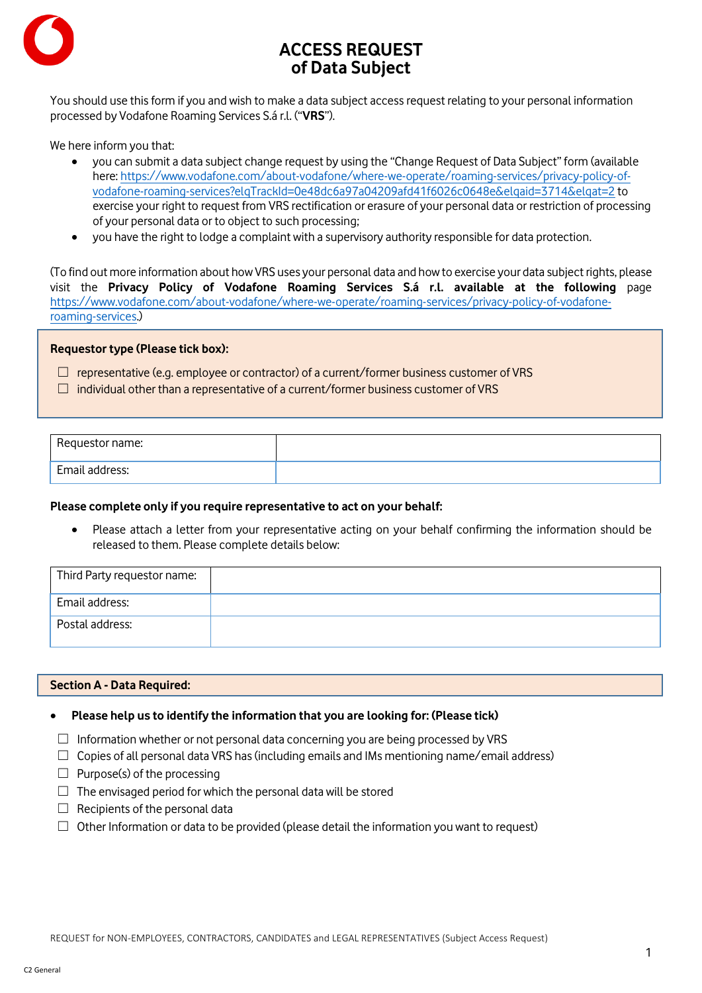

# **ACCESS REQUEST of Data Subject**

You should use this form if you and wish to make a data subject access request relating to your personal information processed by Vodafone Roaming Services S.á r.l. ("**VRS**").

We here inform you that:

- you can submit a data subject change request by using the "Change Request of Data Subject" form (available here: [https://www.vodafone.com/about-vodafone/where-we-operate/roaming-services/privacy-policy-of](https://www.vodafone.com/about-vodafone/where-we-operate/roaming-services/privacy-policy-of-vodafone-roaming-services?elqTrackId=0e48dc6a97a04209afd41f6026c0648e&elqaid=3714&elqat=2)[vodafone-roaming-services?elqTrackId=0e48dc6a97a04209afd41f6026c0648e&elqaid=3714&elqat=2](https://www.vodafone.com/about-vodafone/where-we-operate/roaming-services/privacy-policy-of-vodafone-roaming-services?elqTrackId=0e48dc6a97a04209afd41f6026c0648e&elqaid=3714&elqat=2) to exercise your right to request from VRS rectification or erasure of your personal data or restriction of processing of your personal data or to object to such processing;
- you have the right to lodge a complaint with a supervisory authority responsible for data protection.

(To find out more information about how VRS uses your personal data and how to exercise your data subject rights, please visit the **Privacy Policy of Vodafone Roaming Services S.á r.l. available at the following** page [https://www.vodafone.com/about-vodafone/where-we-operate/roaming-services/privacy-policy-of-vodafone](https://www.vodafone.com/about-vodafone/where-we-operate/roaming-services/privacy-policy-of-vodafone-roaming-services)[roaming-services.\)](https://www.vodafone.com/about-vodafone/where-we-operate/roaming-services/privacy-policy-of-vodafone-roaming-services)

## **Requestor type (Please tick box):**

 $\Box$  representative (e.g. employee or contractor) of a current/former business customer of VRS

 $\Box$  individual other than a representative of a current/former business customer of VRS

| Requestor name: |  |
|-----------------|--|
| Email address:  |  |

#### **Please complete only if you require representative to act on your behalf:**

• Please attach a letter from your representative acting on your behalf confirming the information should be released to them. Please complete details below:

| Third Party requestor name: |  |
|-----------------------------|--|
| Email address:              |  |
| Postal address:             |  |

#### **Section A - Data Required:**

## • **Please help us to identify the information that you are looking for: (Please tick)**

- $\Box$  Information whether or not personal data concerning you are being processed by VRS
- $\Box$  Copies of all personal data VRS has (including emails and IMs mentioning name/email address)
- $\Box$  Purpose(s) of the processing
- $\Box$  The envisaged period for which the personal data will be stored
- $\Box$  Recipients of the personal data
- $\Box$  Other Information or data to be provided (please detail the information you want to request)